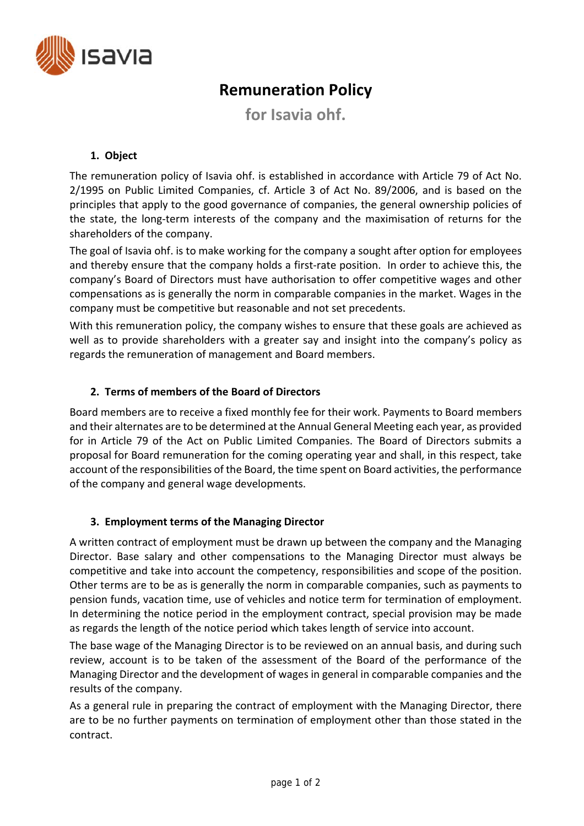

# **Remuneration Policy**

**for Isavia ohf.**

## **1. Object**

The remuneration policy of Isavia ohf. is established in accordance with Article 79 of Act No. 2/1995 on Public Limited Companies, cf. Article 3 of Act No. 89/2006, and is based on the principles that apply to the good governance of companies, the general ownership policies of the state, the long‐term interests of the company and the maximisation of returns for the shareholders of the company.

The goal of Isavia ohf. is to make working for the company a sought after option for employees and thereby ensure that the company holds a first-rate position. In order to achieve this, the company's Board of Directors must have authorisation to offer competitive wages and other compensations as is generally the norm in comparable companies in the market. Wages in the company must be competitive but reasonable and not set precedents.

With this remuneration policy, the company wishes to ensure that these goals are achieved as well as to provide shareholders with a greater say and insight into the company's policy as regards the remuneration of management and Board members.

#### **2. Terms of members of the Board of Directors**

Board members are to receive a fixed monthly fee for their work. Payments to Board members and their alternates are to be determined at the Annual General Meeting each year, as provided for in Article 79 of the Act on Public Limited Companies. The Board of Directors submits a proposal for Board remuneration for the coming operating year and shall, in this respect, take account of the responsibilities of the Board, the time spent on Board activities, the performance of the company and general wage developments.

#### **3. Employment terms of the Managing Director**

A written contract of employment must be drawn up between the company and the Managing Director. Base salary and other compensations to the Managing Director must always be competitive and take into account the competency, responsibilities and scope of the position. Other terms are to be as is generally the norm in comparable companies, such as payments to pension funds, vacation time, use of vehicles and notice term for termination of employment. In determining the notice period in the employment contract, special provision may be made as regards the length of the notice period which takes length of service into account.

The base wage of the Managing Director is to be reviewed on an annual basis, and during such review, account is to be taken of the assessment of the Board of the performance of the Managing Director and the development of wages in general in comparable companies and the results of the company.

As a general rule in preparing the contract of employment with the Managing Director, there are to be no further payments on termination of employment other than those stated in the contract.